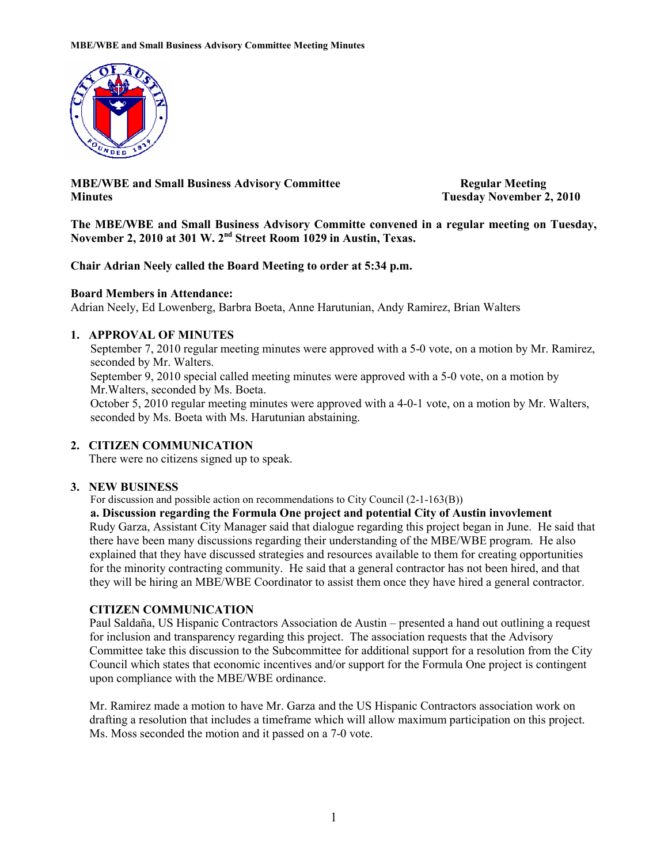

**MBE/WBE and Small Business Advisory Committee Regular Meeting Minutes Tuesday November 2, 2010** 

**The MBE/WBE and Small Business Advisory Committe convened in a regular meeting on Tuesday, November 2, 2010 at 301 W. 2nd Street Room 1029 in Austin, Texas.** 

### **Chair Adrian Neely called the Board Meeting to order at 5:34 p.m.**

### **Board Members in Attendance:**

Adrian Neely, Ed Lowenberg, Barbra Boeta, Anne Harutunian, Andy Ramirez, Brian Walters

## **1. APPROVAL OF MINUTES**

September 7, 2010 regular meeting minutes were approved with a 5-0 vote, on a motion by Mr. Ramirez, seconded by Mr. Walters. September 9, 2010 special called meeting minutes were approved with a 5-0 vote, on a motion by Mr.Walters, seconded by Ms. Boeta.

 October 5, 2010 regular meeting minutes were approved with a 4-0-1 vote, on a motion by Mr. Walters, seconded by Ms. Boeta with Ms. Harutunian abstaining.

# **2. CITIZEN COMMUNICATION**

There were no citizens signed up to speak.

### **3. NEW BUSINESS**

For discussion and possible action on recommendations to City Council (2-1-163(B))

**a. Discussion regarding the Formula One project and potential City of Austin invovlement**  Rudy Garza, Assistant City Manager said that dialogue regarding this project began in June. He said that there have been many discussions regarding their understanding of the MBE/WBE program. He also explained that they have discussed strategies and resources available to them for creating opportunities for the minority contracting community. He said that a general contractor has not been hired, and that they will be hiring an MBE/WBE Coordinator to assist them once they have hired a general contractor.

# **CITIZEN COMMUNICATION**

Paul Saldaña, US Hispanic Contractors Association de Austin – presented a hand out outlining a request for inclusion and transparency regarding this project. The association requests that the Advisory Committee take this discussion to the Subcommittee for additional support for a resolution from the City Council which states that economic incentives and/or support for the Formula One project is contingent upon compliance with the MBE/WBE ordinance.

Mr. Ramirez made a motion to have Mr. Garza and the US Hispanic Contractors association work on drafting a resolution that includes a timeframe which will allow maximum participation on this project. Ms. Moss seconded the motion and it passed on a 7-0 vote.